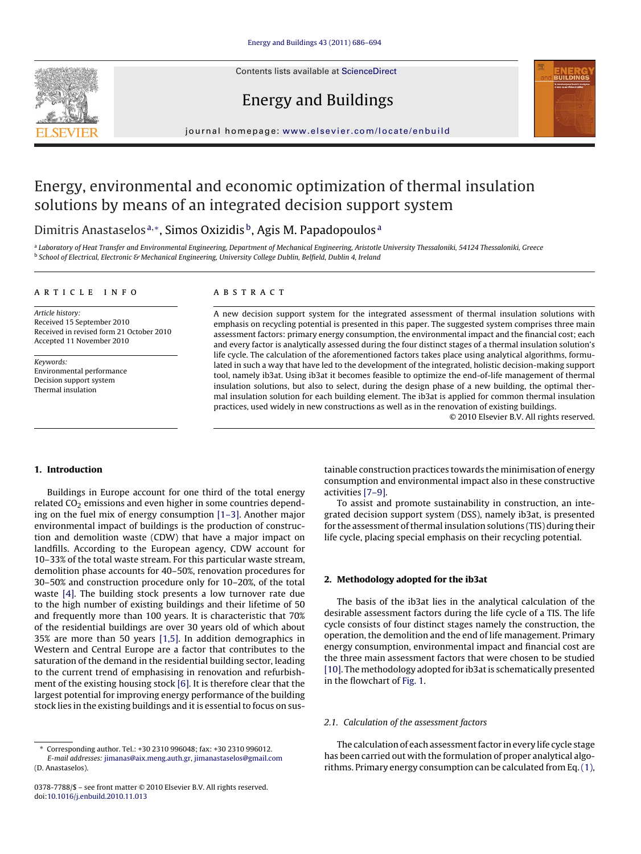Contents lists available at [ScienceDirect](http://www.sciencedirect.com/science/journal/03787788)







journal homepage: [www.elsevier.com/locate/enbuild](http://www.elsevier.com/locate/enbuild)

## Energy, environmental and economic optimization of thermal insulation solutions by means of an integrated decision support system

### Dimitris Anastaselos a,\*, Simos Oxizidis <sup>b</sup>, Agis M. Papadopoulos <sup>a</sup>

a Laboratory of Heat Transfer and Environmental Engineering, Department of Mechanical Engineering, Aristotle University Thessaloniki, 54124 Thessaloniki, Greece <sup>b</sup> School of Electrical, Electronic & Mechanical Engineering, University College Dublin, Belfield, Dublin 4, Ireland

#### article info

Article history: Received 15 September 2010 Received in revised form 21 October 2010 Accepted 11 November 2010

Keywords: Environmental performance Decision support system Thermal insulation

#### **ABSTRACT**

A new decision support system for the integrated assessment of thermal insulation solutions with emphasis on recycling potential is presented in this paper. The suggested system comprises three main assessment factors: primary energy consumption, the environmental impact and the financial cost; each and every factor is analytically assessed during the four distinct stages of a thermal insulation solution's life cycle. The calculation of the aforementioned factors takes place using analytical algorithms, formulated in such a way that have led to the development of the integrated, holistic decision-making support tool, namely ib3at. Using ib3at it becomes feasible to optimize the end-of-life management of thermal insulation solutions, but also to select, during the design phase of a new building, the optimal thermal insulation solution for each building element. The ib3at is applied for common thermal insulation practices, used widely in new constructions as well as in the renovation of existing buildings.

© 2010 Elsevier B.V. All rights reserved.

#### **1. Introduction**

Buildings in Europe account for one third of the total energy related  $CO<sub>2</sub>$  emissions and even higher in some countries depending on the fuel mix of energy consumption [\[1–3\]. A](#page--1-0)nother major environmental impact of buildings is the production of construction and demolition waste (CDW) that have a major impact on landfills. According to the European agency, CDW account for 10–33% of the total waste stream. For this particular waste stream, demolition phase accounts for 40–50%, renovation procedures for 30–50% and construction procedure only for 10–20%, of the total waste [\[4\].](#page--1-0) The building stock presents a low turnover rate due to the high number of existing buildings and their lifetime of 50 and frequently more than 100 years. It is characteristic that 70% of the residential buildings are over 30 years old of which about 35% are more than 50 years [\[1,5\].](#page--1-0) In addition demographics in Western and Central Europe are a factor that contributes to the saturation of the demand in the residential building sector, leading to the current trend of emphasising in renovation and refurbishment of the existing housing stock [\[6\]. I](#page--1-0)t is therefore clear that the largest potential for improving energy performance of the building stock lies in the existing buildings and it is essential to focus on sustainable construction practices towards the minimisation of energy consumption and environmental impact also in these constructive activities [\[7–9\].](#page--1-0)

To assist and promote sustainability in construction, an integrated decision support system (DSS), namely ib3at, is presented for the assessment of thermal insulation solutions (TIS) during their life cycle, placing special emphasis on their recycling potential.

#### **2. Methodology adopted for the ib3at**

The basis of the ib3at lies in the analytical calculation of the desirable assessment factors during the life cycle of a TIS. The life cycle consists of four distinct stages namely the construction, the operation, the demolition and the end of life management. Primary energy consumption, environmental impact and financial cost are the three main assessment factors that were chosen to be studied [\[10\]. T](#page--1-0)he methodology adopted for ib3at is schematically presented in the flowchart of [Fig. 1.](#page--1-0)

#### 2.1. Calculation of the assessment factors

The calculation of each assessment factor in every life cycle stage has been carried out with the formulation of proper analytical algorithms. Primary energy consumption can be calculated from Eq.[\(1\),](#page-1-0)

<sup>∗</sup> Corresponding author. Tel.: +30 2310 996048; fax: +30 2310 996012. E-mail addresses: [jimanas@aix.meng.auth.gr](mailto:jimanas@aix.meng.auth.gr), [jimanastaselos@gmail.com](mailto:jimanastaselos@gmail.com)

<sup>(</sup>D. Anastaselos).

<sup>0378-7788/\$ –</sup> see front matter © 2010 Elsevier B.V. All rights reserved. doi:[10.1016/j.enbuild.2010.11.013](dx.doi.org/10.1016/j.enbuild.2010.11.013)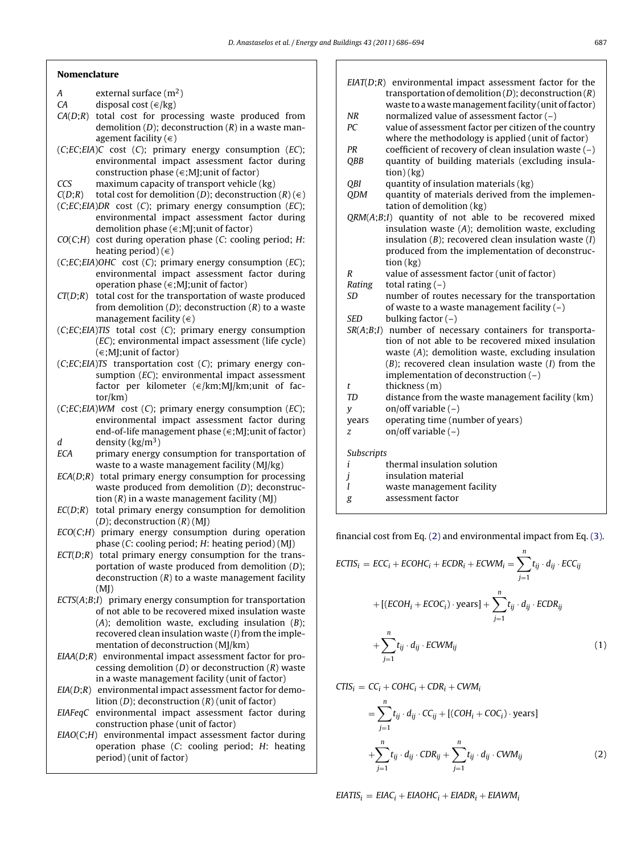#### <span id="page-1-0"></span>**Nomenclature**

- A external surface  $(m^2)$
- $CA$  disposal cost ( $\in$ /kg)
- $CA(D; R)$  total cost for processing waste produced from demolition  $(D)$ ; deconstruction  $(R)$  in a waste management facility  $(\in)$
- $(C; EC; EIA)C$  cost  $(C)$ ; primary energy consumption  $(EC)$ ; environmental impact assessment factor during construction phase  $(\in;M]$ ;unit of factor)
- CCS maximum capacity of transport vehicle (kg)
- $C(D;R)$  total cost for demolition (D); deconstruction  $(R) \in$
- $(C; EC; EIA)$ DR cost  $(C)$ ; primary energy consumption  $(EC)$ ; environmental impact assessment factor during demolition phase  $(\in;M]$ ; unit of factor)
- $CO(C;H)$  cost during operation phase  $(C:$  cooling period:  $H$ : heating period)  $(\in)$
- $(C; EC; EIA)$ OHC cost  $(C)$ ; primary energy consumption  $(EC)$ ; environmental impact assessment factor during operation phase  $(\in;M]$ ; unit of factor)
- $CT(D;R)$  total cost for the transportation of waste produced from demolition  $(D)$ ; deconstruction  $(R)$  to a waste management facility  $(\in)$
- $(C; EC;EIA)$ TIS total cost  $(C)$ ; primary energy consumption (EC); environmental impact assessment (life cycle)  $(\in;M]$ ;unit of factor)
- (C;EC;EIA)TS transportation cost (C); primary energy consumption (EC); environmental impact assessment factor per kilometer  $(\in/km;M]/km;$ unit of factor/km)
- $(C; EC;EIA)$ WM cost  $(C)$ ; primary energy consumption  $(EC)$ ; environmental impact assessment factor during end-of-life management phase  $(\in ; M]$ ;unit of factor) d density  $(kg/m^3)$
- ECA primary energy consumption for transportation of waste to a waste management facility (MJ/kg)
- $ECA(D;R)$  total primary energy consumption for processing waste produced from demolition (D); deconstruction  $(R)$  in a waste management facility  $(MI)$
- $EC(D;R)$  total primary energy consumption for demolition  $(D)$ ; deconstruction  $(R)$   $(M)$
- $ECO(C;H)$  primary energy consumption during operation phase (C: cooling period; H: heating period) (MJ)
- $ECT(D;R)$  total primary energy consumption for the transportation of waste produced from demolition (D); deconstruction  $(R)$  to a waste management facility  $(MI)$
- ECTS(A;B;I) primary energy consumption for transportation of not able to be recovered mixed insulation waste  $(A)$ ; demolition waste, excluding insulation  $(B)$ ; recovered clean insulation waste (I) from the implementation of deconstruction (MJ/km)
- $EIAA(D;R)$  environmental impact assessment factor for processing demolition  $(D)$  or deconstruction  $(R)$  waste in a waste management facility (unit of factor)
- $EIA(D;R)$  environmental impact assessment factor for demolition  $(D)$ ; deconstruction  $(R)$  (unit of factor)
- EIAFeqC environmental impact assessment factor during construction phase (unit of factor)
- EIAO(C;H) environmental impact assessment factor during operation phase (C: cooling period; H: heating period) (unit of factor)

|                  | $EIAT(D;R)$ environmental impact assessment factor for the |
|------------------|------------------------------------------------------------|
|                  | transportation of demolition $(D)$ ; deconstruction $(R)$  |
|                  | waste to a waste management facility (unit of factor)      |
| <b>NR</b>        | normalized value of assessment factor $(-)$                |
| PC               | value of assessment factor per citizen of the country      |
|                  | where the methodology is applied (unit of factor)          |
| PR               | coefficient of recovery of clean insulation waste $(-)$    |
| <b>OBB</b>       | quantity of building materials (excluding insula-          |
|                  | tion)(kg)                                                  |
| OBI              | quantity of insulation materials (kg)                      |
| QDM              | quantity of materials derived from the implemen-           |
|                  | tation of demolition (kg)                                  |
|                  | QRM(A;B;I) quantity of not able to be recovered mixed      |
|                  | insulation waste (A); demolition waste, excluding          |
|                  | insulation $(B)$ ; recovered clean insulation waste $(I)$  |
|                  | produced from the implementation of deconstruc-            |
|                  | tion (kg)                                                  |
| $\boldsymbol{R}$ | value of assessment factor (unit of factor)                |
| Rating           | total rating $(-)$                                         |
| <b>SD</b>        | number of routes necessary for the transportation          |
|                  | of waste to a waste management facility $(-)$              |
| <b>SED</b>       | bulking factor $(-)$                                       |
|                  | $SR(A;B;I)$ number of necessary containers for transporta- |
|                  | tion of not able to be recovered mixed insulation          |
|                  | waste $(A)$ ; demolition waste, excluding insulation       |
|                  | $(B)$ ; recovered clean insulation waste $(I)$ from the    |
|                  | implementation of deconstruction $(-)$                     |
| t                | thickness (m)                                              |
| <b>TD</b>        | distance from the waste management facility (km)           |
| y                | on/off variable $(-)$                                      |
| years            | operating time (number of years)                           |
| z                | on/off variable $(-)$                                      |
| Subscripts       |                                                            |
| i                | thermal insulation solution                                |
| $\boldsymbol{j}$ | insulation material                                        |
| $\mathfrak l$    | waste management facility                                  |
| $\mathfrak{g}$   | assessment factor                                          |

financial cost from Eq. (2) and environmental impact from Eq. [\(3\).](#page--1-0)

$$
ECTIS_i = ECC_i + ECOHC_i + ECDR_i + ECWM_i = \sum_{j=1}^{n} t_{ij} \cdot d_{ij} \cdot ECC_{ij}
$$
  
+ 
$$
[(ECOH_i + ECC_i) \cdot years] + \sum_{j=1}^{n} t_{ij} \cdot d_{ij} \cdot ECDR_{ij}
$$
  
+ 
$$
\sum_{j=1}^{n} t_{ij} \cdot d_{ij} \cdot ECWM_{ij}
$$
 (1)

 $CTIS_i = CC_i + COHC_i + CDR_i + CWM_i$ 

$$
= \sum_{j=1}^{n} t_{ij} \cdot d_{ij} \cdot CC_{ij} + [(COH_i + COC_i) \cdot years]
$$
  
+
$$
\sum_{j=1}^{n} t_{ij} \cdot d_{ij} \cdot CDR_{ij} + \sum_{j=1}^{n} t_{ij} \cdot d_{ij} \cdot CWM_{ij}
$$
 (2)

 $EIATIS_i = EIAC_i + EIAOHC_i + EIADR_i + EIAWM_i$